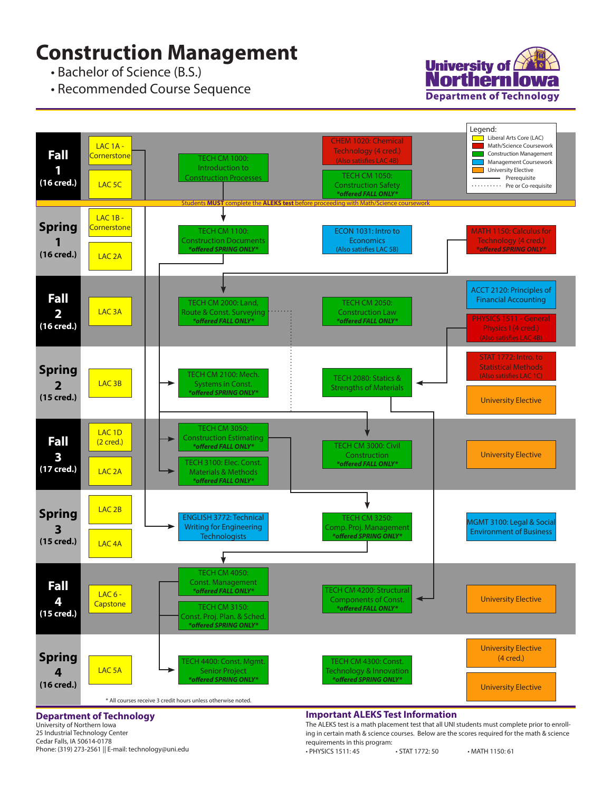## **Construction Management**

• Bachelor of Science (B.S.)

• Recommended Course Sequence





#### **Department of Technology**

University of Northern Iowa 25 Industrial Technology Center Cedar Falls, IA 50614-0178 Phone: (319) 273-2561 || E-mail: technology@uni.edu

### **Important ALEKS Test Information**

The ALEKS test is a math placement test that all UNI students must complete prior to enrolling in certain math & science courses. Below are the scores required for the math & science requirements in this program:

• PHYSICS 1511: 45 • STAT 1772: 50 • MATH 1150: 61